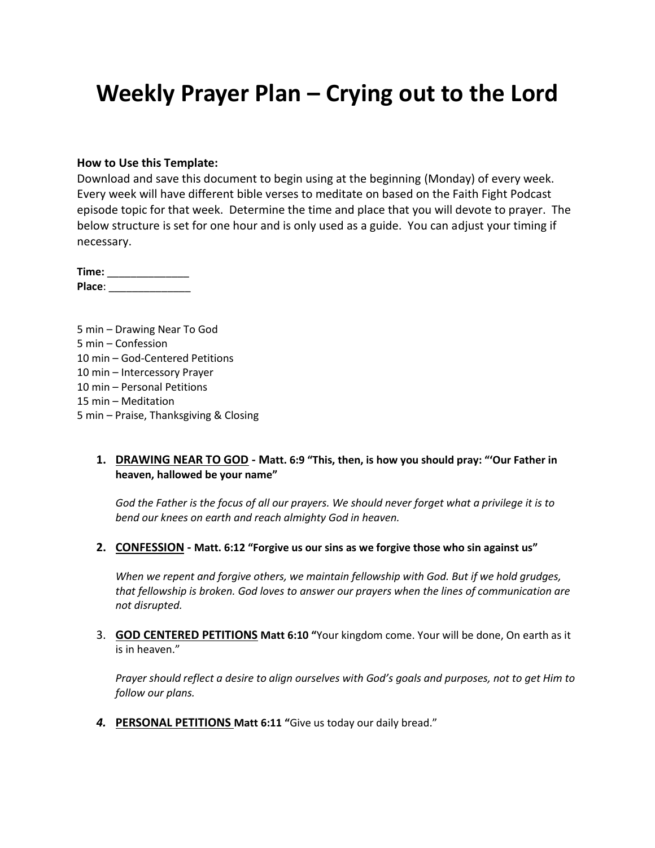# **Weekly Prayer Plan – Crying out to the Lord**

#### **How to Use this Template:**

Download and save this document to begin using at the beginning (Monday) of every week. Every week will have different bible verses to meditate on based on the Faith Fight Podcast episode topic for that week. Determine the time and place that you will devote to prayer. The below structure is set for one hour and is only used as a guide. You can adjust your timing if necessary.

**Time:** \_\_\_\_\_\_\_\_\_\_\_\_\_\_ **Place**: \_\_\_\_\_\_\_\_\_\_\_\_\_\_

5 min – Drawing Near To God 5 min – Confession 10 min – God-Centered Petitions 10 min – Intercessory Prayer 10 min – Personal Petitions 15 min – Meditation 5 min – Praise, Thanksgiving & Closing

#### **1. DRAWING NEAR TO GOD - Matt. 6:9 "This, then, is how you should pray: "'Our Father in heaven, hallowed be your name"**

*God the Father is the focus of all our prayers. We should never forget what a privilege it is to bend our knees on earth and reach almighty God in heaven.*

**2. CONFESSION - Matt. 6:12 "Forgive us our sins as we forgive those who sin against us"**

*When we repent and forgive others, we maintain fellowship with God. But if we hold grudges, that fellowship is broken. God loves to answer our prayers when the lines of communication are not disrupted.*

3. **GOD CENTERED PETITIONS Matt 6:10 "**Your kingdom come. Your will be done, On earth as it is in heaven."

*Prayer should reflect a desire to align ourselves with God's goals and purposes, not to get Him to follow our plans.*

*4.* **PERSONAL PETITIONS Matt 6:11 "**Give us today our daily bread."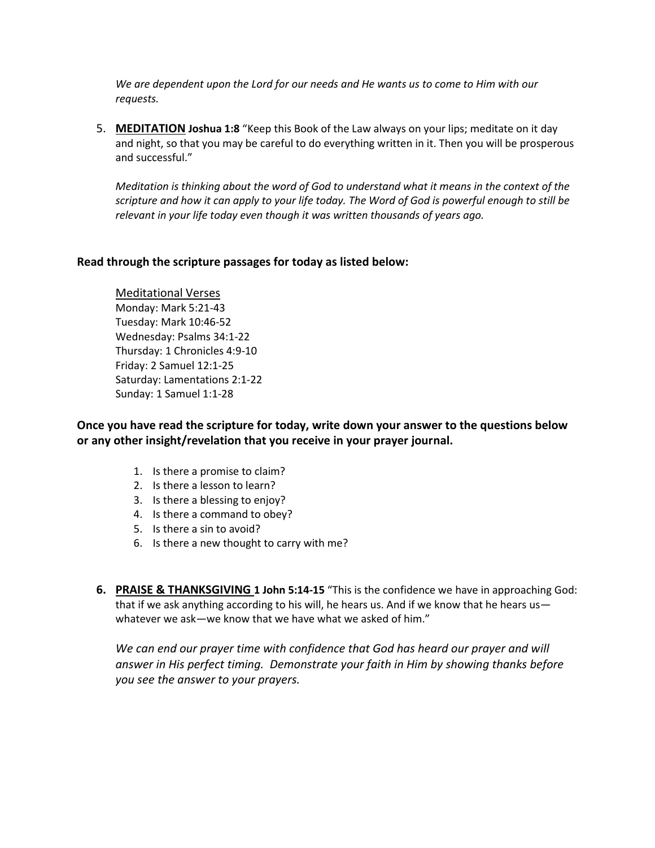*We are dependent upon the Lord for our needs and He wants us to come to Him with our requests.*

5. **MEDITATION Joshua 1:8** "Keep this Book of the Law always on your lips; meditate on it day and night, so that you may be careful to do everything written in it. Then you will be prosperous and successful."

*Meditation is thinking about the word of God to understand what it means in the context of the scripture and how it can apply to your life today. The Word of God is powerful enough to still be relevant in your life today even though it was written thousands of years ago.*

#### **Read through the scripture passages for today as listed below:**

Meditational Verses Monday: Mark 5:21-43 Tuesday: Mark 10:46-52 Wednesday: Psalms 34:1-22 Thursday: 1 Chronicles 4:9-10 Friday: 2 Samuel 12:1-25 Saturday: Lamentations 2:1-22 Sunday: 1 Samuel 1:1-28

**Once you have read the scripture for today, write down your answer to the questions below or any other insight/revelation that you receive in your prayer journal.** 

- 1. Is there a promise to claim?
- 2. Is there a lesson to learn?
- 3. Is there a blessing to enjoy?
- 4. Is there a command to obey?
- 5. Is there a sin to avoid?
- 6. Is there a new thought to carry with me?
- **6. PRAISE & THANKSGIVING 1 John 5:14-15** "This is the confidence we have in approaching God: that if we ask anything according to his will, he hears us. And if we know that he hears us whatever we ask—we know that we have what we asked of him."

We can end our prayer time with confidence that God has heard our prayer and will *answer in His perfect timing. Demonstrate your faith in Him by showing thanks before you see the answer to your prayers.*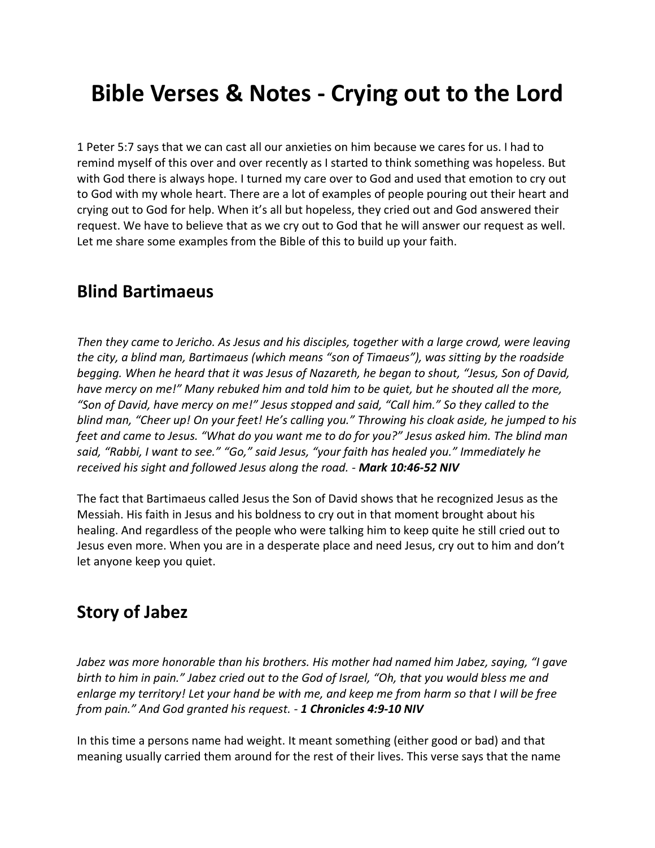# **Bible Verses & Notes - Crying out to the Lord**

1 Peter 5:7 says that we can cast all our anxieties on him because we cares for us. I had to remind myself of this over and over recently as I started to think something was hopeless. But with God there is always hope. I turned my care over to God and used that emotion to cry out to God with my whole heart. There are a lot of examples of people pouring out their heart and crying out to God for help. When it's all but hopeless, they cried out and God answered their request. We have to believe that as we cry out to God that he will answer our request as well. Let me share some examples from the Bible of this to build up your faith.

### **Blind Bartimaeus**

*Then they came to Jericho. As Jesus and his disciples, together with a large crowd, were leaving the city, a blind man, Bartimaeus (which means "son of Timaeus"), was sitting by the roadside begging. When he heard that it was Jesus of Nazareth, he began to shout, "Jesus, Son of David, have mercy on me!" Many rebuked him and told him to be quiet, but he shouted all the more, "Son of David, have mercy on me!" Jesus stopped and said, "Call him." So they called to the blind man, "Cheer up! On your feet! He's calling you." Throwing his cloak aside, he jumped to his feet and came to Jesus. "What do you want me to do for you?" Jesus asked him. The blind man said, "Rabbi, I want to see." "Go," said Jesus, "your faith has healed you." Immediately he received his sight and followed Jesus along the road. - Mark 10:46-52 NIV*

The fact that Bartimaeus called Jesus the Son of David shows that he recognized Jesus as the Messiah. His faith in Jesus and his boldness to cry out in that moment brought about his healing. And regardless of the people who were talking him to keep quite he still cried out to Jesus even more. When you are in a desperate place and need Jesus, cry out to him and don't let anyone keep you quiet.

## **Story of Jabez**

*Jabez was more honorable than his brothers. His mother had named him Jabez, saying, "I gave birth to him in pain." Jabez cried out to the God of Israel, "Oh, that you would bless me and enlarge my territory! Let your hand be with me, and keep me from harm so that I will be free from pain." And God granted his request. - 1 Chronicles 4:9-10 NIV*

In this time a persons name had weight. It meant something (either good or bad) and that meaning usually carried them around for the rest of their lives. This verse says that the name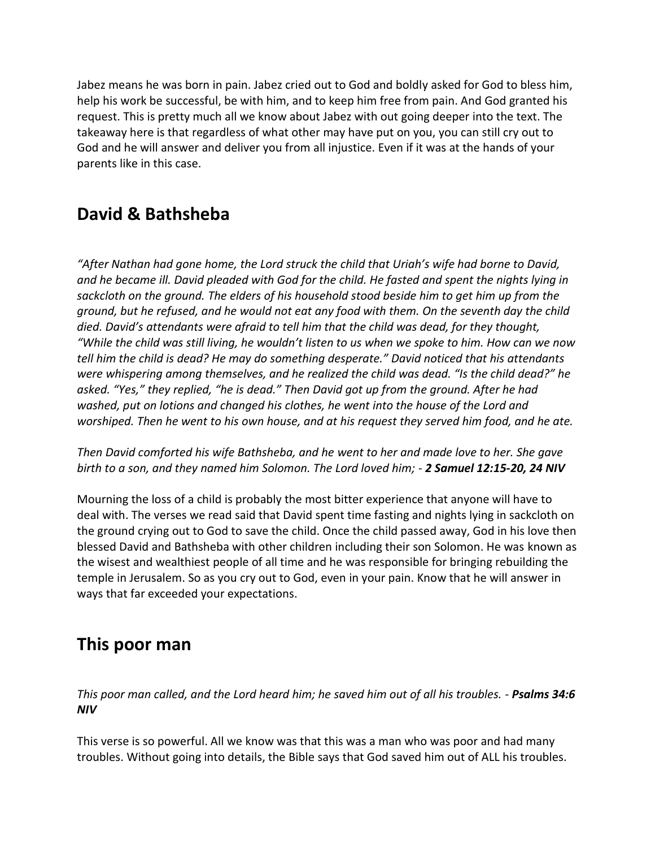Jabez means he was born in pain. Jabez cried out to God and boldly asked for God to bless him, help his work be successful, be with him, and to keep him free from pain. And God granted his request. This is pretty much all we know about Jabez with out going deeper into the text. The takeaway here is that regardless of what other may have put on you, you can still cry out to God and he will answer and deliver you from all injustice. Even if it was at the hands of your parents like in this case.

## **David & Bathsheba**

*"After Nathan had gone home, the Lord struck the child that Uriah's wife had borne to David, and he became ill. David pleaded with God for the child. He fasted and spent the nights lying in sackcloth on the ground. The elders of his household stood beside him to get him up from the ground, but he refused, and he would not eat any food with them. On the seventh day the child died. David's attendants were afraid to tell him that the child was dead, for they thought, "While the child was still living, he wouldn't listen to us when we spoke to him. How can we now tell him the child is dead? He may do something desperate." David noticed that his attendants were whispering among themselves, and he realized the child was dead. "Is the child dead?" he asked. "Yes," they replied, "he is dead." Then David got up from the ground. After he had washed, put on lotions and changed his clothes, he went into the house of the Lord and worshiped. Then he went to his own house, and at his request they served him food, and he ate.* 

*Then David comforted his wife Bathsheba, and he went to her and made love to her. She gave birth to a son, and they named him Solomon. The Lord loved him; - 2 Samuel 12:15-20, 24 NIV*

Mourning the loss of a child is probably the most bitter experience that anyone will have to deal with. The verses we read said that David spent time fasting and nights lying in sackcloth on the ground crying out to God to save the child. Once the child passed away, God in his love then blessed David and Bathsheba with other children including their son Solomon. He was known as the wisest and wealthiest people of all time and he was responsible for bringing rebuilding the temple in Jerusalem. So as you cry out to God, even in your pain. Know that he will answer in ways that far exceeded your expectations.

## **This poor man**

*This poor man called, and the Lord heard him; he saved him out of all his troubles. - Psalms 34:6 NIV*

This verse is so powerful. All we know was that this was a man who was poor and had many troubles. Without going into details, the Bible says that God saved him out of ALL his troubles.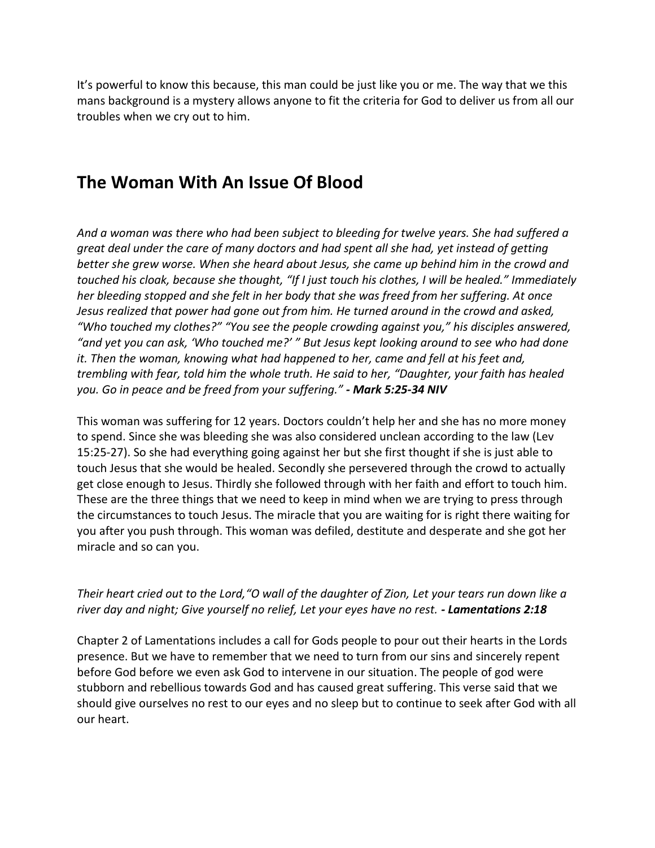It's powerful to know this because, this man could be just like you or me. The way that we this mans background is a mystery allows anyone to fit the criteria for God to deliver us from all our troubles when we cry out to him.

# **The Woman With An Issue Of Blood**

*And a woman was there who had been subject to bleeding for twelve years. She had suffered a great deal under the care of many doctors and had spent all she had, yet instead of getting better she grew worse. When she heard about Jesus, she came up behind him in the crowd and touched his cloak, because she thought, "If I just touch his clothes, I will be healed." Immediately her bleeding stopped and she felt in her body that she was freed from her suffering. At once Jesus realized that power had gone out from him. He turned around in the crowd and asked, "Who touched my clothes?" "You see the people crowding against you," his disciples answered, "and yet you can ask, 'Who touched me?' " But Jesus kept looking around to see who had done it. Then the woman, knowing what had happened to her, came and fell at his feet and, trembling with fear, told him the whole truth. He said to her, "Daughter, your faith has healed you. Go in peace and be freed from your suffering." - Mark 5:25-34 NIV*

This woman was suffering for 12 years. Doctors couldn't help her and she has no more money to spend. Since she was bleeding she was also considered unclean according to the law (Lev 15:25-27). So she had everything going against her but she first thought if she is just able to touch Jesus that she would be healed. Secondly she persevered through the crowd to actually get close enough to Jesus. Thirdly she followed through with her faith and effort to touch him. These are the three things that we need to keep in mind when we are trying to press through the circumstances to touch Jesus. The miracle that you are waiting for is right there waiting for you after you push through. This woman was defiled, destitute and desperate and she got her miracle and so can you.

### *Their heart cried out to the Lord,"O wall of the daughter of Zion, Let your tears run down like a river day and night; Give yourself no relief, Let your eyes have no rest. - Lamentations 2:18*

Chapter 2 of Lamentations includes a call for Gods people to pour out their hearts in the Lords presence. But we have to remember that we need to turn from our sins and sincerely repent before God before we even ask God to intervene in our situation. The people of god were stubborn and rebellious towards God and has caused great suffering. This verse said that we should give ourselves no rest to our eyes and no sleep but to continue to seek after God with all our heart.